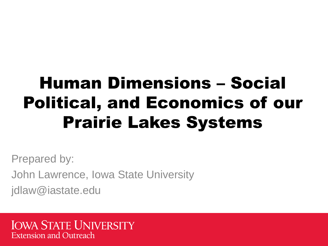### Human Dimensions – Social Political, and Economics of our Prairie Lakes Systems

Prepared by:

John Lawrence, Iowa State University

jdlaw@iastate.edu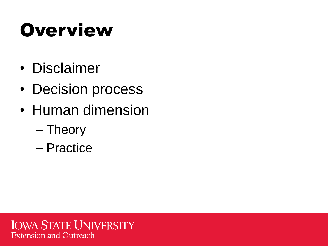## **Overview**

- Disclaimer
- Decision process
- Human dimension
	- Theory
	- Practice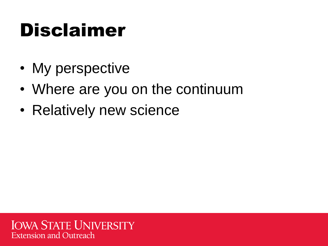## Disclaimer

- My perspective
- Where are you on the continuum
- Relatively new science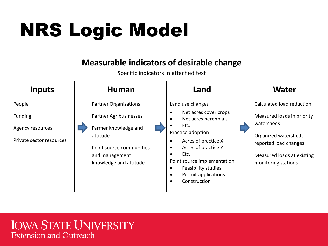## NRS Logic Model

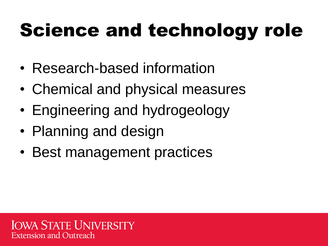## Science and technology role

- Research-based information
- Chemical and physical measures
- Engineering and hydrogeology
- Planning and design
- Best management practices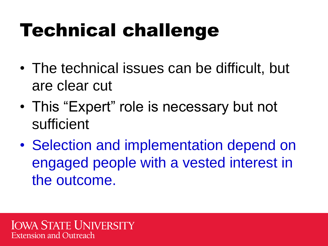## Technical challenge

- The technical issues can be difficult, but are clear cut
- This "Expert" role is necessary but not sufficient
- Selection and implementation depend on engaged people with a vested interest in the outcome.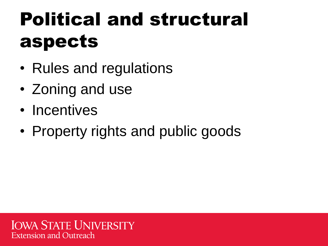## Political and structural aspects

- Rules and regulations
- Zoning and use
- Incentives
- Property rights and public goods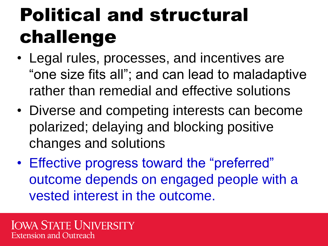## Political and structural challenge

- Legal rules, processes, and incentives are "one size fits all"; and can lead to maladaptive rather than remedial and effective solutions
- Diverse and competing interests can become polarized; delaying and blocking positive changes and solutions
- Effective progress toward the "preferred" outcome depends on engaged people with a vested interest in the outcome.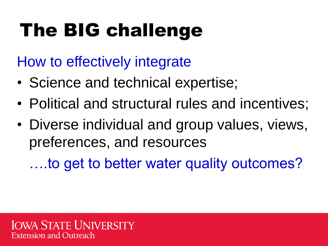## The BIG challenge

How to effectively integrate

- Science and technical expertise;
- Political and structural rules and incentives;
- Diverse individual and group values, views, preferences, and resources

….to get to better water quality outcomes?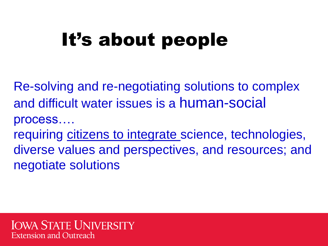## It's about people

Re-solving and re-negotiating solutions to complex and difficult water issues is a human-social process…. requiring citizens to integrate science, technologies, diverse values and perspectives, and resources; and negotiate solutions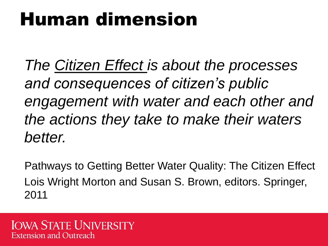## Human dimension

*The Citizen Effect is about the processes and consequences of citizen's public engagement with water and each other and the actions they take to make their waters better.*

Pathways to Getting Better Water Quality: The Citizen Effect Lois Wright Morton and Susan S. Brown, editors. Springer, 2011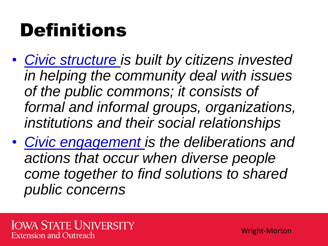## Definitions

- *Civic structure is built by citizens invested in helping the community deal with issues of the public commons; it consists of formal and informal groups, organizations, institutions and their social relationships*
- *Civic engagement is the deliberations and actions that occur when diverse people come together to find solutions to shared public concerns*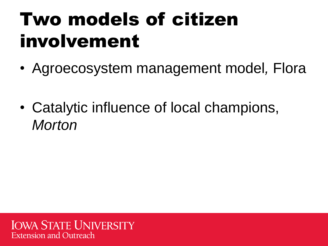## Two models of citizen involvement

- Agroecosystem management model*,* Flora
- Catalytic influence of local champions, *Morton*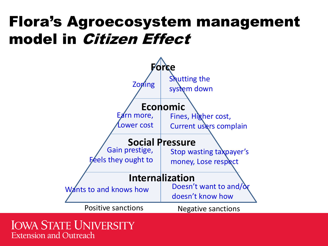#### Flora's Agroecosystem management model in Citizen Effect

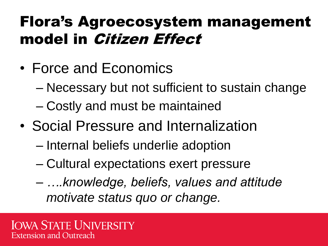### Flora's Agroecosystem management model in Citizen Effect

- Force and Economics
	- Necessary but not sufficient to sustain change
	- Costly and must be maintained
- Social Pressure and Internalization
	- Internal beliefs underlie adoption
	- Cultural expectations exert pressure
	- *….knowledge, beliefs, values and attitude motivate status quo or change.*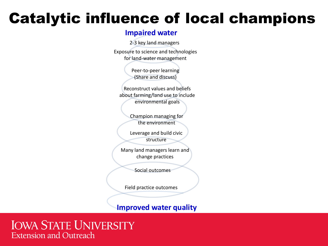#### **Impaired water**

2-3 key land managers

Exposure to science and technologies for land-water management

> Peer-to-peer learning (Share and discuss)

Reconstruct values and beliefs about farming/land use to include environmental goals

> Champion managing for the environment

Leverage and build civic structure

Many land managers learn and change practices

Social outcomes

Field practice outcomes

**Improved water quality**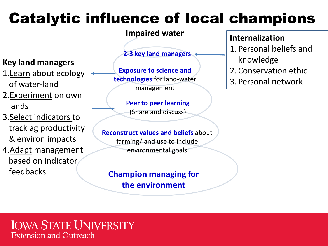**Impaired water**

#### **Key land managers**

- 1.Learn about ecology of water-land
- 2.**Experiment** on own lands
- 3.Select indicators to track ag productivity & environ impacts
- 4.Adapt management based on indicator feedbacks

**2-3 key land managers**

**Exposure to science and technologies** for land-water management

> **Peer to peer learning**  (Share and discuss)

**Reconstruct values and beliefs** about farming/land use to include environmental goals

**Champion managing for the environment**

#### **Internalization**

- 1. Personal beliefs and knowledge
- 2. Conservation ethic
- 3. Personal network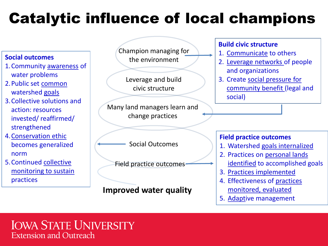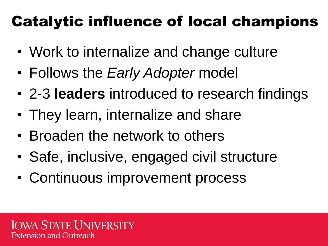- Work to internalize and change culture
- Follows the *Early Adopter* model
- 2-3 **leaders** introduced to research findings
- They learn, internalize and share
- Broaden the network to others
- Safe, inclusive, engaged civil structure
- Continuous improvement process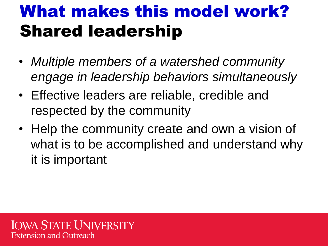### What makes this model work? Shared leadership

- *Multiple members of a watershed community engage in leadership behaviors simultaneously*
- Effective leaders are reliable, credible and respected by the community
- Help the community create and own a vision of what is to be accomplished and understand why it is important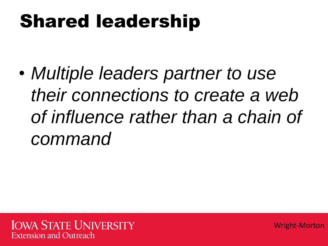## Shared leadership

• *Multiple leaders partner to use their connections to create a web of influence rather than a chain of command*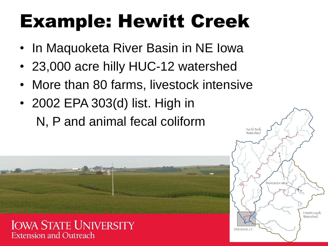## Example: Hewitt Creek

- In Maquoketa River Basin in NE Iowa
- 23,000 acre hilly HUC-12 watershed
- More than 80 farms, livestock intensive
- 2002 EPA 303(d) list. High in

N, P and animal fecal coliform



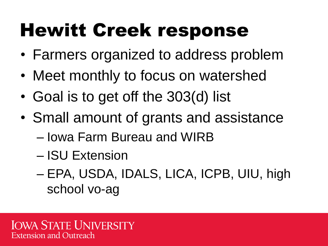## Hewitt Creek response

- Farmers organized to address problem
- Meet monthly to focus on watershed
- Goal is to get off the 303(d) list
- Small amount of grants and assistance
	- Iowa Farm Bureau and WIRB
	- ISU Extension
	- EPA, USDA, IDALS, LICA, ICPB, UIU, high school vo-ag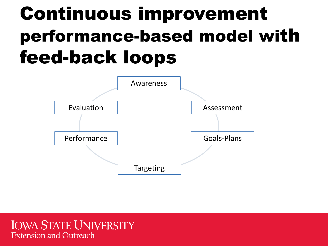## Continuous improvement performance-based model with feed-back loops

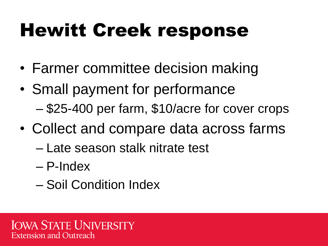## Hewitt Creek response

- Farmer committee decision making
- Small payment for performance – \$25-400 per farm, \$10/acre for cover crops
- Collect and compare data across farms
	- Late season stalk nitrate test
	- P-Index
	- Soil Condition Index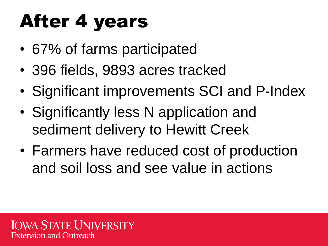## After 4 years

- 67% of farms participated
- 396 fields, 9893 acres tracked
- Significant improvements SCI and P-Index
- Significantly less N application and sediment delivery to Hewitt Creek
- Farmers have reduced cost of production and soil loss and see value in actions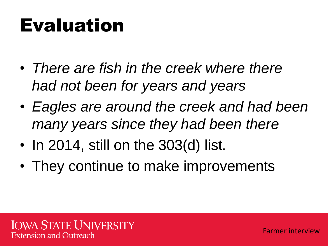## Evaluation

- *There are fish in the creek where there had not been for years and years*
- *Eagles are around the creek and had been many years since they had been there*
- In 2014, still on the 303(d) list.
- They continue to make improvements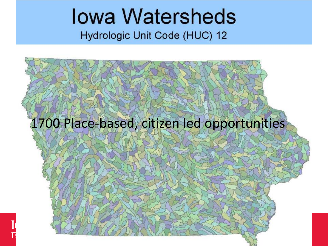# **Iowa Watersheds**

Hydrologic Unit Code (HUC) 12

# 1700 Place-based, citizen led opportunities